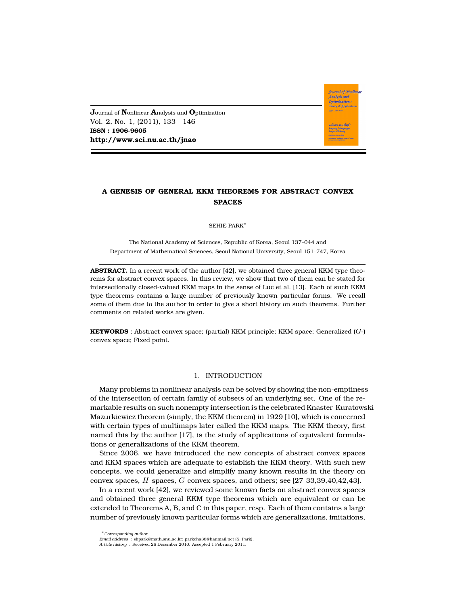**J**ournal of **N**onlinear **A**nalysis and **O**ptimization Vol. 2, No. 1, (2011), 133 - 146 **ISSN : 1906-9605 http://www.sci.nu.ac.th/jnao**

# **A GENESIS OF GENERAL KKM THEOREMS FOR ABSTRACT CONVEX SPACES**

**Journal of Nonlinear** .<br>Analysis and Optimization Theory & Applicatio

SEHIE PARK<sup>∗</sup>

The National Academy of Sciences, Republic of Korea, Seoul 137–044 and Department of Mathematical Sciences, Seoul National University, Seoul 151–747, Korea

**ABSTRACT.** In a recent work of the author [42], we obtained three general KKM type theorems for abstract convex spaces. In this review, we show that two of them can be stated for intersectionally closed-valued KKM maps in the sense of Luc et al. [13]. Each of such KKM type theorems contains a large number of previously known particular forms. We recall some of them due to the author in order to give a short history on such theorems. Further comments on related works are given.

**KEYWORDS** : Abstract convex space; (partial) KKM principle; KKM space; Generalized (G-) convex space; Fixed point.

### 1. INTRODUCTION

Many problems in nonlinear analysis can be solved by showing the non-emptiness of the intersection of certain family of subsets of an underlying set. One of the remarkable results on such nonempty intersection is the celebrated Knaster-Kuratowski-Mazurkiewicz theorem (simply, the KKM theorem) in 1929 [10], which is concerned with certain types of multimaps later called the KKM maps. The KKM theory, first named this by the author [17], is the study of applications of equivalent formulations or generalizations of the KKM theorem.

Since 2006, we have introduced the new concepts of abstract convex spaces and KKM spaces which are adequate to establish the KKM theory. With such new concepts, we could generalize and simplify many known results in the theory on convex spaces, H-spaces, G-convex spaces, and others; see [27-33,39,40,42,43].

In a recent work [42], we reviewed some known facts on abstract convex spaces and obtained three general KKM type theorems which are equivalent or can be extended to Theorems A, B, and C in this paper, resp. Each of them contains a large number of previously known particular forms which are generalizations, imitations,

<sup>∗</sup>*Corresponding author.*

*Email address* : shpark@math.snu.ac.kr; parkcha38@hanmail.net (S. Park). *Article history* : Received 26 December 2010. Accepted 1 February 2011.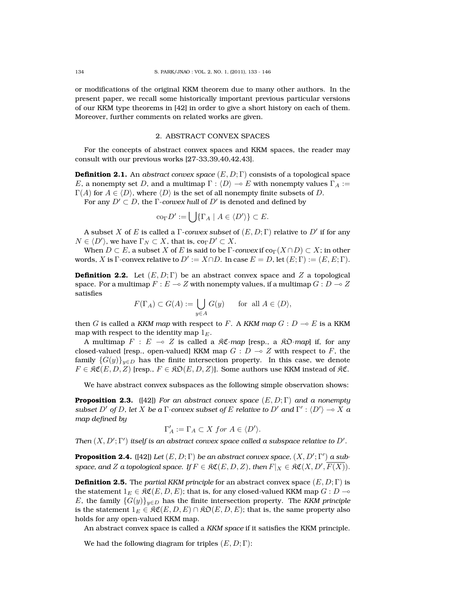or modifications of the original KKM theorem due to many other authors. In the present paper, we recall some historically important previous particular versions of our KKM type theorems in [42] in order to give a short history on each of them. Moreover, further comments on related works are given.

### 2. ABSTRACT CONVEX SPACES

For the concepts of abstract convex spaces and KKM spaces, the reader may consult with our previous works [27-33,39,40,42,43].

**Definition 2.1.** An *abstract convex space* (E, D; Γ) consists of a topological space E, a nonempty set D, and a multimap  $\Gamma : \langle D \rangle \to E$  with nonempty values  $\Gamma_A :=$  $\Gamma(A)$  for  $A \in \langle D \rangle$ , where  $\langle D \rangle$  is the set of all nonempty finite subsets of D.

For any  $D'\subset D$ , the  $\Gamma$ *-convex hull* of  $D'$  is denoted and defined by

$$
\mathrm{co}_{\Gamma} D' := \bigcup \{ \Gamma_A \mid A \in \langle D' \rangle \} \subset E.
$$

A subset  $X$  of  $E$  is called a  $\Gamma$ *-convex subset* of  $(E,D;\Gamma)$  relative to  $D'$  if for any  $N \in \langle D' \rangle$ , we have  $\Gamma_N \subset X$ , that is, co $_\Gamma D' \subset X$ .

When  $D \subset E$ , a subset X of E is said to be  $\Gamma$ -*convex* if  $\text{co}_{\Gamma}(X \cap D) \subset X$ ; in other words, X is  $\Gamma$ -convex relative to  $D':=X\cap D$ . In case  $E=D$ , let  $(E;\Gamma):=(E,E;\Gamma).$ 

**Definition 2.2.** Let  $(E, D; \Gamma)$  be an abstract convex space and Z a topological space. For a multimap  $F : E \to Z$  with nonempty values, if a multimap  $G : D \to Z$ satisfies

$$
F(\Gamma_A) \subset G(A) := \bigcup_{y \in A} G(y) \quad \text{for all } A \in \langle D \rangle,
$$

then G is called a KKM map with respect to F. A KKM map  $G: D \multimap E$  is a KKM map with respect to the identity map  $1<sub>E</sub>$ .

A multimap  $F : E \multimap Z$  is called a  $\Re \mathfrak{C}$ -map [resp., a  $\Re \mathfrak{O}$ -map] if, for any closed-valued [resp., open-valued] KKM map  $G : D \to Z$  with respect to F, the family  ${G(y)}_{y\in D}$  has the finite intersection property. In this case, we denote  $F \in \mathfrak{RC}(E, D, Z)$  [resp.,  $F \in \mathfrak{RO}(E, D, Z)$ ]. Some authors use KKM instead of  $\mathfrak{RC}$ .

We have abstract convex subspaces as the following simple observation shows:

**Proposition 2.3.** ([42]) *For an abstract convex space* (E, D; Γ) *and a nonempty subset*  $D'$  *of*  $D$ *, let*  $X$  *be a*  $\Gamma$ *-convex subset of*  $E$  *relative to*  $D'$  *and*  $\Gamma'$  :  $\langle D' \rangle \to X$  *a map defined by*

$$
\Gamma'_A:=\Gamma_A\subset X\ for\ A\in \langle D'\rangle.
$$

*Then*  $(X, D'; \Gamma')$  itself is an abstract convex space called a subspace relative to  $D'$ .

**Proposition 2.4.** ([42]) Let  $(E, D; \Gamma)$  be an abstract convex space,  $(X, D'; \Gamma')$  a sub- $\textsf{space}, \textsf{and}\, Z \textsf{a}$  topological space. If  $F \in \mathfrak{RC}(E,D,Z)$ , then  $F|_X \in \mathfrak{RC}(X,D',\overline{F(X)}).$ 

**Definition 2.5.** The *partial KKM principle* for an abstract convex space  $(E, D; \Gamma)$  is the statement  $1_E \in \mathfrak{RC}(E, D, E)$ ; that is, for any closed-valued KKM map  $G : D \to$ E, the family  ${G(y)}_{y\in D}$  has the finite intersection property. The *KKM principle* is the statement  $1_E \in \mathfrak{RC}(E, D, E) \cap \mathfrak{RO}(E, D, E)$ ; that is, the same property also holds for any open-valued KKM map.

An abstract convex space is called a *KKM space* if it satisfies the KKM principle.

We had the following diagram for triples  $(E, D; \Gamma)$ :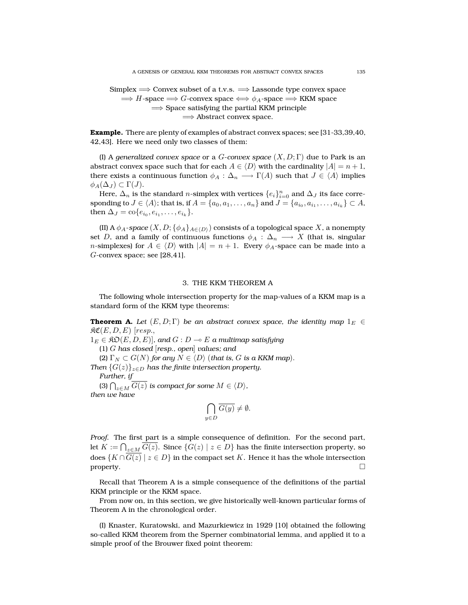Simplex =⇒ Convex subset of a t.v.s. =⇒ Lassonde type convex space  $\implies$  H-space  $\implies$  G-convex space  $\iff$   $\phi_A$ -space  $\implies$  KKM space  $\implies$  Space satisfying the partial KKM principle =⇒ Abstract convex space.

**Example.** There are plenty of examples of abstract convex spaces; see [31-33,39,40, 42,43]. Here we need only two classes of them:

(I) A *generalized convex space* or a G-*convex space* (X, D; Γ) due to Park is an abstract convex space such that for each  $A \in \langle D \rangle$  with the cardinality  $|A| = n + 1$ , there exists a continuous function  $\phi_A : \Delta_n \longrightarrow \Gamma(A)$  such that  $J \in \langle A \rangle$  implies  $\phi_A(\Delta_J) \subset \Gamma(J).$ 

Here,  $\Delta_n$  is the standard *n*-simplex with vertices  $\{e_i\}_{i=0}^n$  and  $\Delta_J$  its face corresponding to  $J\in \langle A\rangle;$  that is, if  $A=\{a_0,a_1,\ldots,a_n\}$  and  $J=\{a_{i_0},a_{i_1},\ldots,a_{i_k}\}\subset A,$ then  $\Delta_J = \text{co}\{e_{i_0}, e_{i_1}, \dots, e_{i_k}\}.$ 

(II) A  $\phi_A$ -space  $(X, D; {\phi_A}_{A\in\langle D \rangle})$  consists of a topological space X, a nonempty set D, and a family of continuous functions  $\phi_A : \Delta_n \longrightarrow X$  (that is, singular *n*-simplexes) for  $A \in \langle D \rangle$  with  $|A| = n + 1$ . Every  $\phi_A$ -space can be made into a  $G$ -convex space; see [28,41].

### 3. THE KKM THEOREM A

The following whole intersection property for the map-values of a KKM map is a standard form of the KKM type theorems:

**Theorem A.** Let  $(E, D; \Gamma)$  be an abstract convex space, the identity map  $1_E \in$  $\mathfrak{RC}(E, D, E)$  [resp.,

 $1_E \in \mathfrak{RO}(E, D, E)$ , and  $G : D \multimap E$  a multimap satisfying (1) G *has closed* [*resp., open*] *values; and*

(2)  $\Gamma_N \subset G(N)$  *for any*  $N \in \langle D \rangle$  (*that is, G is a KKM map*).

*Then*  $\{G(z)\}_{z\in D}$  *has the finite intersection property.* 

*Further, if*

(3)  $\bigcap_{z \in M} G(z)$  *is compact for some*  $M \in \langle D \rangle$ *, then we have*

$$
\bigcap_{y \in D} \overline{G(y)} \neq \emptyset.
$$

*Proof.* The first part is a simple consequence of definition. For the second part, let  $K:=\bigcap_{z\in M}G(z).$  Since  $\{G(z)\mid z\in D\}$  has the finite intersection property, so does  $\{K \cap \overline{G(z)} \mid z \in D\}$  in the compact set K. Hence it has the whole intersection property.  $\Box$ 

Recall that Theorem A is a simple consequence of the definitions of the partial KKM principle or the KKM space.

From now on, in this section, we give historically well-known particular forms of Theorem A in the chronological order.

(I) Knaster, Kuratowski, and Mazurkiewicz in 1929 [10] obtained the following so-called KKM theorem from the Sperner combinatorial lemma, and applied it to a simple proof of the Brouwer fixed point theorem: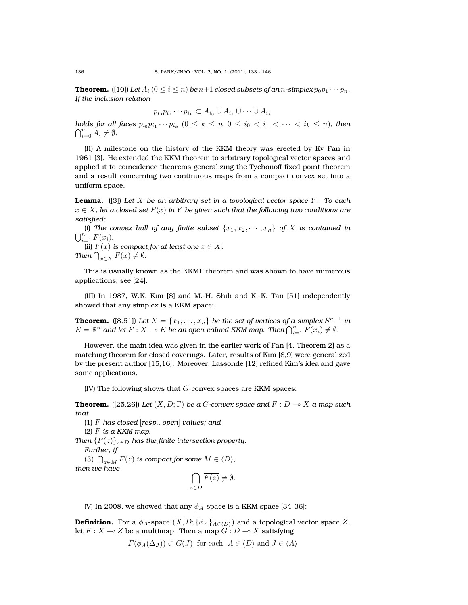**Theorem.** ([10]) Let  $A_i$  ( $0 \le i \le n$ ) be  $n+1$  closed subsets of an n-simplex  $p_0p_1 \cdots p_n$ . *If the inclusion relation*

 $p_{i_0}p_{i_1}\cdots p_{i_k}\subset A_{i_0}\cup A_{i_1}\cup\cdots\cup A_{i_k}$ 

*holds for all faces*  $p_{i_0}p_{i_1}\cdots p_{i_k}$   $(0\leq k\leq n, 0\leq i_0 < i_1 < \cdots < i_k \leq n)$ , then  $\bigcap_{i=0}^n A_i \neq \emptyset.$ 

(II) A milestone on the history of the KKM theory was erected by Ky Fan in 1961 [3]. He extended the KKM theorem to arbitrary topological vector spaces and applied it to coincidence theorems generalizing the Tychonoff fixed point theorem and a result concerning two continuous maps from a compact convex set into a uniform space.

**Lemma.** ([3]) Let X be an arbitrary set in a topological vector space Y. To each  $x \in X$ , let a closed set  $F(x)$  in Y be given such that the following two conditions are *satisfied:*

(i) The convex hull of any finite subset  $\{x_1, x_2, \dots, x_n\}$  of X is contained in  $\bigcup_{i=1}^{n} F(x_i)$ .

(ii)  $F(x)$  *is compact for at least one*  $x \in X$ *. Then*  $\bigcap_{x \in X} F(x) \neq \emptyset$ .

This is usually known as the KKMF theorem and was shown to have numerous applications; see [24].

(III) In 1987, W.K. Kim [8] and M.-H. Shih and K.-K. Tan [51] independently showed that any simplex is a KKM space:

**Theorem.** ([8,51]) Let  $X = \{x_1, \ldots, x_n\}$  be the set of vertices of a simplex  $S^{n-1}$  in  $E=\mathbb{R}^n$  and let  $F:X\multimap E$  be an open-valued KKM map. Then  $\bigcap_{i=1}^n F(x_i)\neq \emptyset.$ 

However, the main idea was given in the earlier work of Fan [4, Theorem 2] as a matching theorem for closed coverings. Later, results of Kim [8,9] were generalized by the present author [15,16]. Moreover, Lassonde [12] refined Kim's idea and gave some applications.

 $(IV)$  The following shows that  $G$ -convex spaces are KKM spaces:

**Theorem.** ([25,26]) *Let*  $(X, D; \Gamma)$  *be a G-convex space and*  $F: D \to X$  *a map such that*

(1) F *has closed* [*resp., open*] *values; and* (2) F *is a KKM map.*

*Then*  ${F(z)}_{z\in D}$  *has the finite intersection property. Further, if*

(3)  $\bigcap_{z \in M} F(z)$  *is compact for some*  $M \in \langle D \rangle$ *, then we have*

$$
\bigcap_{z \in D} \overline{F(z)} \neq \emptyset.
$$

(V) In 2008, we showed that any  $\phi_A$ -space is a KKM space [34-36]:

**Definition.** For a  $\phi_A$ -space  $(X, D; {\phi_A}_{A \in \langle D \rangle})$  and a topological vector space Z, let  $F : X \longrightarrow Z$  be a multimap. Then a map  $G : D \longrightarrow X$  satisfying

 $F(\phi_A(\Delta_I)) \subset G(J)$  for each  $A \in \langle D \rangle$  and  $J \in \langle A \rangle$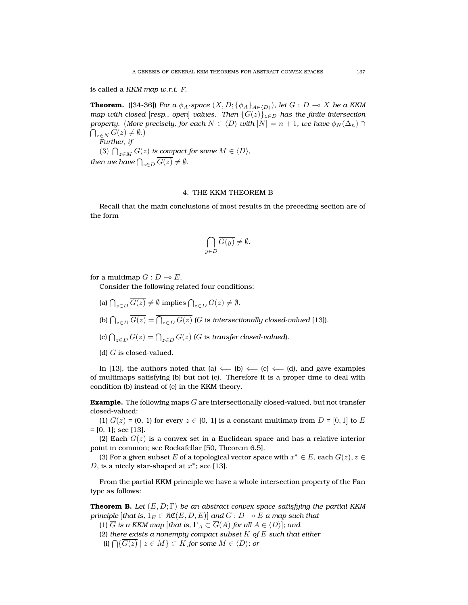is called a *KKM map w.r.t. F*.

**Theorem.** ([34-36]) *For a*  $\phi_A$ -space  $(X, D; {\phi_A}_{A \in (D)})$ *, let*  $G: D \to X$  *be a KKM map with closed* [*resp., open*] *values. Then*  $\{G(z)\}_{z\in D}$  *has the finite intersection property.* (*More precisely, for each*  $N \in \langle D \rangle$  *with*  $|N| = n + 1$ *, we have*  $\phi_N(\Delta_n) \cap$  $\bigcap_{z\in N} G(z)\neq \emptyset.$ *Further, if*

(3)  $\bigcap_{z \in M} G(z)$  *is compact for some*  $M \in \langle D \rangle$ *,* then we have  $\bigcap_{z\in D} G(z)\neq \emptyset$ .

## 4. THE KKM THEOREM B

Recall that the main conclusions of most results in the preceding section are of the form

$$
\bigcap_{y \in D} \overline{G(y)} \neq \emptyset.
$$

for a multimap  $G : D \multimap E$ .

Consider the following related four conditions:

- (a)  $\bigcap_{z \in D} G(z) \neq \emptyset$  implies  $\bigcap_{z \in D} G(z) \neq \emptyset$ .
- (b)  $\bigcap_{z\in D} G(z)=\bigcap_{z\in D} G(z)$  (G is intersectionally closed-valued [13]).
- (c)  $\bigcap_{z \in D} G(z) = \bigcap_{z \in D} G(z)$  (G is *transfer closed-valued*).

(d)  $G$  is closed-valued.

In [13], the authors noted that (a)  $\Leftarrow$  (b)  $\Leftarrow$  (c)  $\Leftarrow$  (d), and gave examples of multimaps satisfying (b) but not (c). Therefore it is a proper time to deal with condition (b) instead of (c) in the KKM theory.

**Example.** The following maps G are intersectionally closed-valued, but not transfer closed-valued:

(1)  $G(z) = (0, 1)$  for every  $z \in [0, 1]$  is a constant multimap from  $D = [0, 1]$  to E  $=[0, 1]$ ; see [13].

(2) Each  $G(z)$  is a convex set in a Euclidean space and has a relative interior point in common; see Rockafellar [50, Theorem 6.5].

(3) For a given subset E of a topological vector space with  $x^* \in E$ , each  $G(z), z \in E$ D, is a nicely star-shaped at  $x^*$ ; see [13].

From the partial KKM principle we have a whole intersection property of the Fan type as follows:

**Theorem B.** *Let*  $(E, D; \Gamma)$  *be an abstract convex space satisfying the partial KKM principle* [*that is,*  $1_E \in \Re\mathfrak{C}(E, D, E)$ ] *and*  $G : D \multimap E$  *a map such that* 

(1)  $\overline{G}$  *is a KKM map* [*that is,*  $\Gamma_A \subset \overline{G}(A)$  *for all*  $A \in \langle D \rangle$ ]*; and* 

(2) *there exists a nonempty compact subset* K *of* E *such that either*

(i)  $\bigcap$ { $G(z) \mid z \in M$ } ⊂ K for some  $M \in \langle D \rangle$ ; or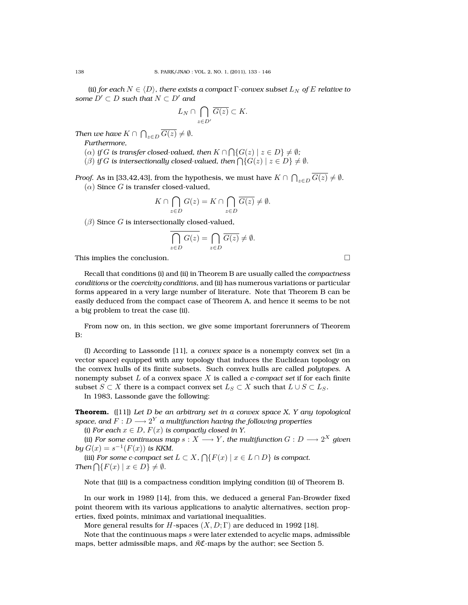(ii) *for each*  $N \in \langle D \rangle$ *, there exists a compact*  $\Gamma$ *-convex subset*  $L_N$  *of*  $E$  *relative to some*  $D' \subset D$  *such that*  $N \subset D'$  *and* 

$$
L_N\cap \bigcap_{z\in D'}\overline{G(z)}\subset K.
$$

*Then we have*  $K \cap \bigcap_{z \in D} G(z) \neq \emptyset$ *.* 

*Furthermore,*

- $\mathcal{L}(\alpha)$  *if*  $G$  *is transfer closed-valued, then*  $K \cap \bigcap \{G(z) \mid z \in D\} \neq \emptyset;$
- ( $\beta$ ) *if* G is intersectionally closed-valued, then  $\bigcap \{G(z) \mid z \in D\} \neq \emptyset$ .

*Proof.* As in [33,42,43], from the hypothesis, we must have  $K \cap \bigcap_{z \in D} G(z) \neq \emptyset$ .  $(\alpha)$  Since G is transfer closed-valued,

$$
K \cap \bigcap_{z \in D} G(z) = K \cap \bigcap_{z \in D} \overline{G(z)} \neq \emptyset.
$$

 $(\beta)$  Since G is intersectionally closed-valued,

$$
\bigcap_{z \in D} G(z) = \bigcap_{z \in D} \overline{G(z)} \neq \emptyset.
$$

This implies the conclusion.

Recall that conditions (i) and (ii) in Theorem B are usually called the *compactness conditions* or the *coercivity conditions*, and (ii) has numerous variations or particular forms appeared in a very large number of literature. Note that Theorem B can be easily deduced from the compact case of Theorem A, and hence it seems to be not a big problem to treat the case (ii).

From now on, in this section, we give some important forerunners of Theorem B:

(I) According to Lassonde [11], a *convex space* is a nonempty convex set (in a vector space) equipped with any topology that induces the Euclidean topology on the convex hulls of its finite subsets. Such convex hulls are called *polytopes*. A nonempty subset L of a convex space X is called a *c-compact set* if for each finite subset  $S \subset X$  there is a compact convex set  $L_S \subset X$  such that  $L \cup S \subset L_S$ .

In 1983, Lassonde gave the following:

**Theorem.** ([11]) *Let D be an arbitrary set in a convex space X, Y any topological*  $space,$  and  $F:D\longrightarrow 2^{Y}$  a multifunction having the following properties

(i) For each  $x \in D$ ,  $F(x)$  is compactly closed in Y.

(ii) *For some continuous map*  $s: X \longrightarrow Y$  *, the multifunction*  $G: D \longrightarrow 2^X$  *given by*  $G(x) = s^{-1}(F(x))$  *is KKM.* 

(iii) *For some c-compact set*  $L \subset X$ ,  $\bigcap \{F(x) \mid x \in L \cap D\}$  *is compact. Then*  $\bigcap \{ F(x) \mid x \in D \} \neq \emptyset$ .

Note that (iii) is a compactness condition implying condition (ii) of Theorem B.

In our work in 1989 [14], from this, we deduced a general Fan-Browder fixed point theorem with its various applications to analytic alternatives, section properties, fixed points, minimax and variational inequalities.

More general results for H-spaces  $(X, D; \Gamma)$  are deduced in 1992 [18].

Note that the continuous maps  $s$  were later extended to acyclic maps, admissible maps, better admissible maps, and  $\mathcal{RC}$ -maps by the author; see Section 5.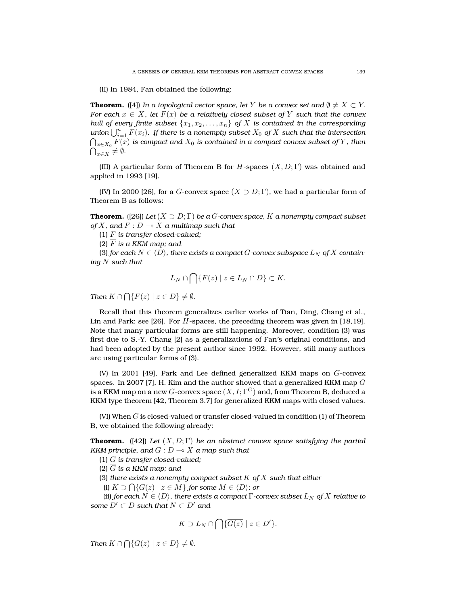(II) In 1984, Fan obtained the following:

**Theorem.** ([4]) *In a topological vector space, let* Y *be a convex set and*  $\emptyset \neq X \subset Y$ . *For each*  $x \in X$ *, let*  $F(x)$  *be a relatively closed subset of* Y *such that the convex hull of every finite subset*  $\{x_1, x_2, \ldots, x_n\}$  *of* X *is contained in the corresponding*  $u$ nion  $\bigcup_{i=1}^n F(x_i)$ *. If there is a nonempty subset*  $X_0$  *of*  $X$  *such that the intersection*  $\bigcap_{x\in X_0}F(x)$  is compact and  $X_0$  is contained in a compact convex subset of  $Y$  , then  $\bigcap_{x\in X} \neq \emptyset$ .

(III) A particular form of Theorem B for H-spaces  $(X, D; \Gamma)$  was obtained and applied in 1993 [19].

(IV) In 2000 [26], for a G-convex space  $(X \supset D; \Gamma)$ , we had a particular form of Theorem B as follows:

**Theorem.** ([26]) *Let*  $(X \supset D; \Gamma)$  *be a G-convex space,* K *a nonempty compact subset of*  $X$ *, and*  $F: D \to X$  *a multimap such that* 

(1) F *is transfer closed-valued;*

(2) F *is a KKM map; and*

(3) *for each*  $N \in \langle D \rangle$ *, there exists a compact G*-convex subspace  $L_N$  of X contain*ing* N *such that*

$$
L_N \cap \bigcap \{ \overline{F(z)} \mid z \in L_N \cap D \} \subset K.
$$

*Then*  $K \cap \bigcap \{ F(z) \mid z \in D \} \neq \emptyset$ .

Recall that this theorem generalizes earlier works of Tian, Ding, Chang et al., Lin and Park; see [26]. For H-spaces, the preceding theorem was given in [18,19]. Note that many particular forms are still happening. Moreover, condition (3) was first due to S.-Y. Chang [2] as a generalizations of Fan's original conditions, and had been adopted by the present author since 1992. However, still many authors are using particular forms of (3).

(V) In 2001 [49], Park and Lee defined generalized KKM maps on G-convex spaces. In 2007 [7], H. Kim and the author showed that a generalized KKM map  $G$ is a KKM map on a new  $G$ -convex space  $(X,I;\Gamma^G)$  and, from Theorem B, deduced a KKM type theorem [42, Theorem 3.7] for generalized KKM maps with closed values.

(VI) When  $G$  is closed-valued or transfer closed-valued in condition (1) of Theorem B, we obtained the following already:

**Theorem.** ([42]) *Let*  $(X, D; \Gamma)$  *be an abstract convex space satisfying the partial KKM principle, and*  $G: D \to X$  *a map such that* 

(1) G *is transfer closed-valued;*

(2)  $\overline{G}$  *is a KKM map; and* 

(3) *there exists a nonempty compact subset* K *of* X *such that either*

(i)  $K \supset \bigcap \{ G(z) \mid z \in M \}$  *for some*  $M \in \langle D \rangle$ *; or* 

(ii) *for each*  $N \in \langle D \rangle$ *, there exists a compact*  $\Gamma$ *-convex subset*  $L_N$  *of*  $X$  *relative to some*  $D' \subset D$  *such that*  $N \subset D'$  *and* 

$$
K \supset L_N \cap \bigcap \{ \overline{G(z)} \mid z \in D' \}.
$$

*Then*  $K \cap \bigcap \{ G(z) \mid z \in D \} \neq \emptyset$ .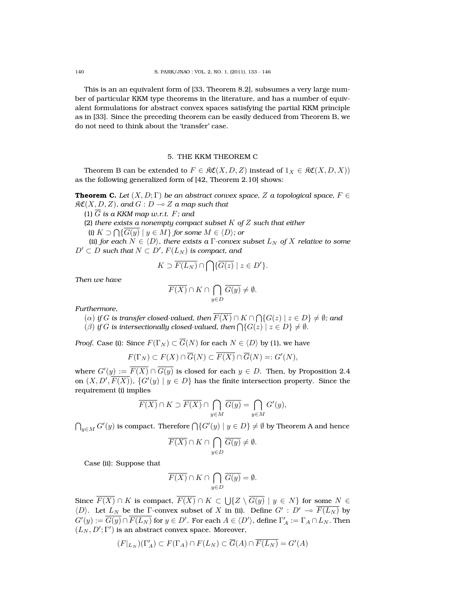This is an an equivalent form of [33, Theorem 8.2], subsumes a very large number of particular KKM type theorems in the literature, and has a number of equivalent formulations for abstract convex spaces satisfying the partial KKM principle as in [33]. Since the preceding theorem can be easily deduced from Theorem B, we do not need to think about the 'transfer' case.

### 5. THE KKM THEOREM C

Theorem B can be extended to  $F \in \mathfrak{RC}(X, D, Z)$  instead of  $1_X \in \mathfrak{RC}(X, D, X)$ as the following generalized form of [42, Theorem 2.10] shows:

**Theorem C.** *Let*  $(X, D; \Gamma)$  *be an abstract convex space,* Z *a topological space,*  $F \in$  $\mathfrak{RC}(X, D, Z)$ *, and*  $G : D \to Z$  *a map such that* 

(1)  $\overline{G}$  *is a KKM map w.r.t.*  $F$ *; and* 

(2) *there exists a nonempty compact subset* K *of* Z *such that either*

(i)  $K \supset \bigcap \{G(y) \mid y \in M\}$  *for some*  $M \in \langle D \rangle$ *; or* 

(ii) *for each*  $N \in \langle D \rangle$ *, there exists a*  $\Gamma$ *-convex subset*  $L_N$  *of*  $X$  *relative to some*  $D'\subset D$  such that  $N\subset D'$ ,  $F(L_N)$  is compact, and

$$
K \supset \overline{F(L_N)} \cap \bigcap \{\overline{G(z)} \mid z \in D'\}.
$$

*Then we have*

$$
\overline{F(X)}\cap K\cap \bigcap_{y\in D}\overline{G(y)}\neq \emptyset.
$$

*Furthermore,*

- $\Gamma(\alpha)$  *if*  $G$  *is transfer closed-valued, then*  $F(X) \cap K \cap \bigcap \{G(z) \mid z \in D\} \neq \emptyset$ *; and*
- ( $\beta$ ) *if* G is intersectionally closed-valued, then  $\bigcap \{G(z) \mid z \in D\} \neq \emptyset$ .

*Proof.* Case (i): Since  $F(\Gamma_N) \subset \overline{G}(N)$  for each  $N \in \langle D \rangle$  by (1), we have

$$
F(\Gamma_N) \subset F(X) \cap \overline{G}(N) \subset \overline{F(X)} \cap \overline{G}(N) =: G'(N),
$$

where  $G'(y):=\overline{F(X)}\cap \overline{G(y)}$  is closed for each  $y\in D.$  Then, by Proposition 2.4 on  $(X,D',\overline{F(X)}) ,\, \{G'(y)\mid y\in D\}$  has the finite intersection property. Since the requirement (i) implies

$$
\overline{F(X)} \cap K \supset \overline{F(X)} \cap \bigcap_{y \in M} \overline{G(y)} = \bigcap_{y \in M} G'(y),
$$

 $\bigcap_{y\in M} G'(y)$  is compact. Therefore  $\bigcap \{G'(y)\mid y\in D\}\neq \emptyset$  by Theorem A and hence

$$
\overline{F(X)} \cap K \cap \bigcap_{y \in D} \overline{G(y)} \neq \emptyset.
$$

Case (ii): Suppose that

$$
\overline{F(X)} \cap K \cap \bigcap_{y \in D} \overline{G(y)} = \emptyset.
$$

Since  $F(X) \cap K$  is compact,  $F(X) \cap K \subset \bigcup \{Z \setminus G(y) \mid y \in N\}$  for some  $N \in$  $\langle D \rangle$ . Let  $L_N$  be the Γ-convex subset of X in (ii). Define  $G' : D' \multimap \overline{F(L_N)}$  by  $G'(y):=\overline{G(y)}\cap \overline{F(L_N)}$  for  $y\in D'.$  For each  $A\in \langle D'\rangle,$  define  $\Gamma'_A:=\Gamma_A\cap L_N.$  Then  $(L_N, D'; \Gamma')$  is an abstract convex space. Moreover,

$$
(F|_{L_N})(\Gamma'_A) \subset F(\Gamma_A) \cap F(L_N) \subset \overline{G}(A) \cap \overline{F(L_N)} = G'(A)
$$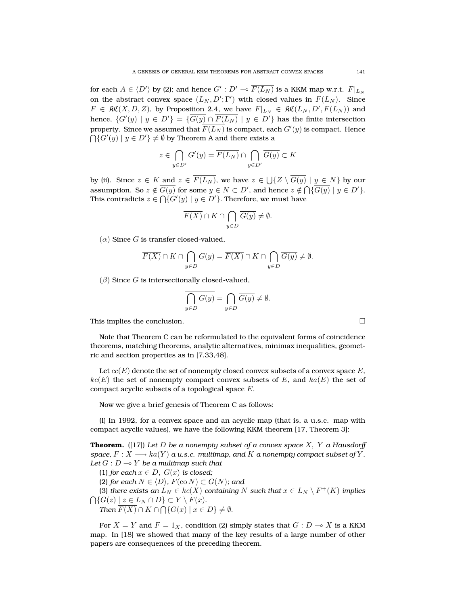for each  $A\in\langle D'\rangle$  by (2); and hence  $G':D'\multimap \overline{F(L_N)}$  is a KKM map w.r.t.  $F|_{L_N}$ on the abstract convex space  $(L_N,D';\Gamma')$  with closed values in  $\overline{F(L_N)}$ . Since  $F\,\in\,\mathfrak{RC}(X,D,Z),$  by Proposition 2.4, we have  $F|_{L_N}\,\in\,\mathfrak{RC}(L_N,D',\overline{F(L_N)})$  and hence,  $\{G'(y)\mid y\in D'\}=\{\overline{G(y)}\cap \overline{F(L_N)}\mid y\in D'\}$  has the finite intersection property. Since we assumed that  $\overline{F(L_N)}$  is compact, each  $G'(y)$  is compact. Hence  $\bigcap \{G'(y) \mid y \in D'\} \neq \emptyset$  by Theorem A and there exists a

$$
z \in \bigcap_{y \in D'} G'(y) = \overline{F(L_N)} \cap \bigcap_{y \in D'} \overline{G(y)} \subset K
$$

by (ii). Since  $z \in K$  and  $z \in F(L_N)$ , we have  $z \in \bigcup \{Z \setminus G(y) \mid y \in N\}$  by our assumption. So  $z \notin \overline{G(y)}$  for some  $y \in N \subset D'$ , and hence  $z \notin \bigcap \{\overline{G(y)} \mid y \in D'\}.$ This contradicts  $z \in \bigcap \{G'(y) \mid y \in D'\}$ . Therefore, we must have

$$
\overline{F(X)} \cap K \cap \bigcap_{y \in D} \overline{G(y)} \neq \emptyset.
$$

 $(\alpha)$  Since G is transfer closed-valued,

$$
\overline{F(X)} \cap K \cap \bigcap_{y \in D} G(y) = \overline{F(X)} \cap K \cap \bigcap_{y \in D} \overline{G(y)} \neq \emptyset.
$$

 $(\beta)$  Since G is intersectionally closed-valued,

$$
\bigcap_{y \in D} G(y) = \bigcap_{y \in D} \overline{G(y)} \neq \emptyset.
$$

This implies the conclusion.

Note that Theorem C can be reformulated to the equivalent forms of coincidence theorems, matching theorems, analytic alternatives, minimax inequalities, geometric and section properties as in [7,33,48].

Let  $cc(E)$  denote the set of nonempty closed convex subsets of a convex space E,  $kc(E)$  the set of nonempty compact convex subsets of E, and  $ka(E)$  the set of compact acyclic subsets of a topological space  $E$ .

Now we give a brief genesis of Theorem C as follows:

(I) In 1992, for a convex space and an acyclic map (that is, a u.s.c. map with compact acyclic values), we have the following KKM theorem [17, Theorem 3]:

**Theorem.** ([17]) *Let* D *be a nonempty subset of a convex space* X, Y *a Hausdorff space,*  $F: X \longrightarrow ka(Y)$  *a u.s.c.* multimap, and K *a* nonempty compact subset of Y. *Let*  $G: D \to Y$  *be a multimap such that* 

(1) *for each*  $x \in D$ ,  $G(x)$  *is closed*;

(2) *for each*  $N \in \langle D \rangle$ *,*  $F(\text{co } N) \subset G(N)$ *; and* 

(3) *there exists an*  $L_N \in kc(X)$  *containing N such that*  $x \in L_N \setminus F^+(K)$  *implies*  $\bigcap \{G(z) \mid z \in L_N \cap D\} \subset Y \setminus F(x)$ *.* 

*Then*  $F(X) \cap K \cap \bigcap \{G(x) \mid x \in D\} \neq \emptyset$ .

For  $X = Y$  and  $F = 1_X$ , condition (2) simply states that  $G : D \to X$  is a KKM map. In [18] we showed that many of the key results of a large number of other papers are consequences of the preceding theorem.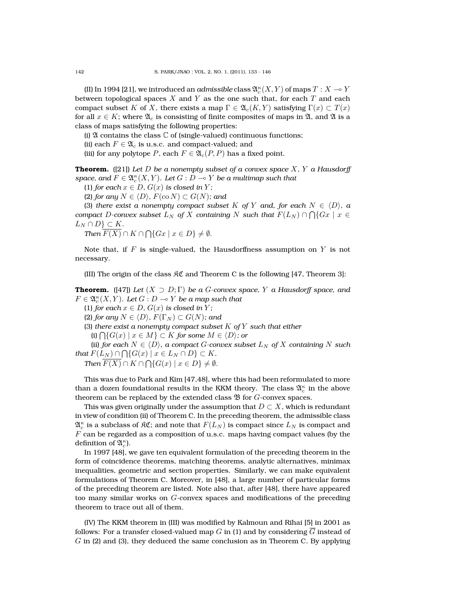(II) In 1994 [21], we introduced an *admissible* class  $\mathfrak{A}_c^\kappa(X,Y)$  of maps  $T:X\multimap Y$ between topological spaces X and Y as the one such that, for each T and each compact subset K of X, there exists a map  $\Gamma \in \mathfrak{A}_{c}(K, Y)$  satisfying  $\Gamma(x) \subset T(x)$ for all  $x \in K$ ; where  $\mathfrak{A}_c$  is consisting of finite composites of maps in  $\mathfrak{A}$ , and  $\mathfrak{A}$  is a class of maps satisfying the following properties:

(i)  $\mathfrak A$  contains the class  $\mathbb C$  of (single-valued) continuous functions;

(ii) each  $F \in \mathfrak{A}_c$  is u.s.c. and compact-valued; and

(iii) for any polytope P, each  $F \in \mathfrak{A}_{c}(P, P)$  has a fixed point.

**Theorem.** ([21]) *Let* D *be a nonempty subset of a convex space* X*,* Y *a Hausdorff* space, and  $F \in \mathfrak{A}^{\kappa}_c(X, Y)$ *. Let*  $G : D \multimap Y$  *be a multimap such that* 

(1) *for each*  $x \in D$ *,*  $G(x)$  *is closed in Y;* 

(2) *for any*  $N \in \langle D \rangle$ *,*  $F(\text{co } N) \subset G(N)$ *; and* 

(3) *there exist a nonempty compact subset* K *of* Y *and, for each*  $N \in \langle D \rangle$ *, a*  $\emph{compact } D\textrm{-convex subset } L_N \enskip \emph{of } X \enskip \emph{containing } N \enskip \emph{such that } \enskip F(L_N) \cap \bigcap \{Gx \mid x \in X \}$  $L_N \cap D$   $\subset K$ .

*Then*  $F(X) \cap K \cap \bigcap \{Gx \mid x \in D\} \neq \emptyset$ .

Note that, if F is single-valued, the Hausdorffness assumption on Y is not necessary.

(III) The origin of the class  $\Re \mathfrak{C}$  and Theorem C is the following [47, Theorem 3]:

**Theorem.** ([47]) *Let*  $(X \supset D; \Gamma)$  *be a G-convex space,* Y *a Hausdorff space, and*  $F \in \mathfrak{A}^\kappa_c(X,Y).$  Let  $G: D \multimap Y$  be a map such that

(1) *for each*  $x \in D$ *,*  $G(x)$  *is closed in Y;* 

(2) *for any*  $N \in \langle D \rangle$ *,*  $F(\Gamma_N) \subset G(N)$ *; and* 

(3) *there exist a nonempty compact subset* K *of* Y *such that either*

(i)  $\bigcap$ { $G(x) \mid x \in M$ } ⊂ K for some  $M \in \langle D \rangle$ ; or

(ii) *for each*  $N \in \langle D \rangle$ *, a compact G-convex subset*  $L_N$  *of*  $X$  *containing*  $N$  *such that*  $F(L_N) \cap \bigcap \{ G(x) \mid x \in L_N \cap D \} \subset K$ .

*Then*  $F(X) \cap K \cap \bigcap \{G(x) \mid x \in D\} \neq \emptyset$ .

This was due to Park and Kim [47,48], where this had been reformulated to more than a dozen foundational results in the KKM theory. The class  $\mathfrak{A}_c^\kappa$  in the above theorem can be replaced by the extended class  $\mathfrak B$  for  $G$ -convex spaces.

This was given originally under the assumption that  $D\subset X$ , which is redundant in view of condition (ii) of Theorem C. In the preceding theorem, the admissible class  $\mathfrak{A}^\kappa_c$  is a subclass of  $\mathfrak{K} \mathfrak{C}$ ; and note that  $F(L_N)$  is compact since  $L_N$  is compact and  $F$  can be regarded as a composition of u.s.c. maps having compact values (by the definition of  $\mathfrak{A}_{c}^{\kappa}$ ).

In 1997 [48], we gave ten equivalent formulation of the preceding theorem in the form of coincidence theorems, matching theorems, analytic alternatives, minimax inequalities, geometric and section properties. Similarly, we can make equivalent formulations of Theorem C. Moreover, in [48], a large number of particular forms of the preceding theorem are listed. Note also that, after [48], there have appeared too many similar works on G-convex spaces and modifications of the preceding theorem to trace out all of them.

(IV) The KKM theorem in (III) was modified by Kalmoun and Rihai [5] in 2001 as follows: For a transfer closed-valued map  $G$  in (1) and by considering  $G$  instead of G in (2) and (3), they deduced the same conclusion as in Theorem C. By applying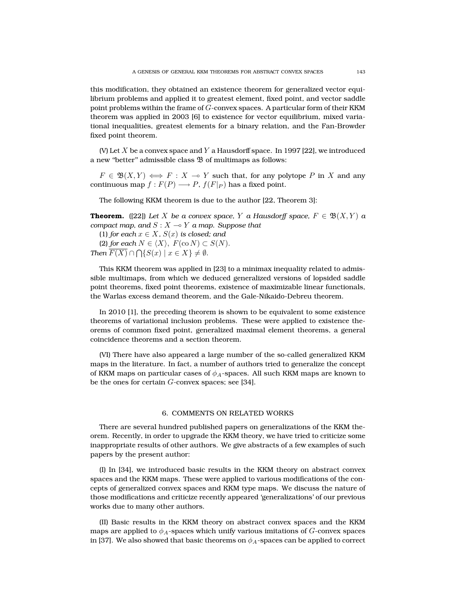this modification, they obtained an existence theorem for generalized vector equilibrium problems and applied it to greatest element, fixed point, and vector saddle point problems within the frame of  $G$ -convex spaces. A particular form of their KKM theorem was applied in 2003 [6] to existence for vector equilibrium, mixed variational inequalities, greatest elements for a binary relation, and the Fan-Browder fixed point theorem.

(V) Let  $X$  be a convex space and  $Y$  a Hausdorff space. In 1997 [22], we introduced a new "better" admissible class  $\mathfrak B$  of multimaps as follows:

 $F \in \mathfrak{B}(X,Y) \iff F : X \to Y$  such that, for any polytope P in X and any continuous map  $f : F(P) \longrightarrow P$ ,  $f(F|_P)$  has a fixed point.

The following KKM theorem is due to the author [22, Theorem 3]:

**Theorem.** ([22]) Let X be a convex space, Y a Hausdorff space,  $F \in \mathfrak{B}(X,Y)$  a *compact map, and*  $S: X \rightarrow Y$  *a map. Suppose that* 

(1) *for each*  $x \in X$ *,*  $S(x)$  *is closed; and* (2) *for each*  $N \in \langle X \rangle$ ,  $F(\text{co } N) \subset S(N)$ . *Then*  $F(X) \cap \bigcap \{ S(x) \mid x \in X \} \neq \emptyset$ .

This KKM theorem was applied in [23] to a minimax inequality related to admissible multimaps, from which we deduced generalized versions of lopsided saddle point theorems, fixed point theorems, existence of maximizable linear functionals, the Warlas excess demand theorem, and the Gale-Nikaido-Debreu theorem.

In 2010 [1], the preceding theorem is shown to be equivalent to some existence theorems of variational inclusion problems. These were applied to existence theorems of common fixed point, generalized maximal element theorems, a general coincidence theorems and a section theorem.

(VI) There have also appeared a large number of the so-called generalized KKM maps in the literature. In fact, a number of authors tried to generalize the concept of KKM maps on particular cases of  $\phi_A$ -spaces. All such KKM maps are known to be the ones for certain  $G$ -convex spaces; see [34].

### 6. COMMENTS ON RELATED WORKS

There are several hundred published papers on generalizations of the KKM theorem. Recently, in order to upgrade the KKM theory, we have tried to criticize some inappropriate results of other authors. We give abstracts of a few examples of such papers by the present author:

(I) In [34], we introduced basic results in the KKM theory on abstract convex spaces and the KKM maps. These were applied to various modifications of the concepts of generalized convex spaces and KKM type maps. We discuss the nature of those modifications and criticize recently appeared 'generalizations' of our previous works due to many other authors.

(II) Basic results in the KKM theory on abstract convex spaces and the KKM maps are applied to  $\phi_A$ -spaces which unify various imitations of G-convex spaces in [37]. We also showed that basic theorems on  $\phi_A$ -spaces can be applied to correct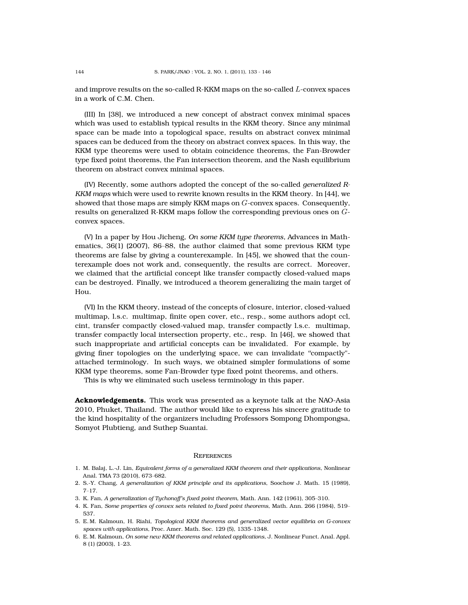and improve results on the so-called R-KKM maps on the so-called L-convex spaces in a work of C.M. Chen.

(III) In [38], we introduced a new concept of abstract convex minimal spaces which was used to establish typical results in the KKM theory. Since any minimal space can be made into a topological space, results on abstract convex minimal spaces can be deduced from the theory on abstract convex spaces. In this way, the KKM type theorems were used to obtain coincidence theorems, the Fan-Browder type fixed point theorems, the Fan intersection theorem, and the Nash equilibrium theorem on abstract convex minimal spaces.

(IV) Recently, some authors adopted the concept of the so-called *generalized R-KKM maps* which were used to rewrite known results in the KKM theory. In [44], we showed that those maps are simply KKM maps on  $G$ -convex spaces. Consequently, results on generalized R-KKM maps follow the corresponding previous ones on Gconvex spaces.

(V) In a paper by Hou Jicheng, *On some KKM type theorems,* Advances in Mathematics, 36(1) (2007), 86–88, the author claimed that some previous KKM type theorems are false by giving a counterexample. In [45], we showed that the counterexample does not work and, consequently, the results are correct. Moreover, we claimed that the artificial concept like transfer compactly closed-valued maps can be destroyed. Finally, we introduced a theorem generalizing the main target of Hou.

(VI) In the KKM theory, instead of the concepts of closure, interior, closed-valued multimap, l.s.c. multimap, finite open cover, etc., resp., some authors adopt ccl, cint, transfer compactly closed-valued map, transfer compactly l.s.c. multimap, transfer compactly local intersection property, etc., resp. In [46], we showed that such inappropriate and artificial concepts can be invalidated. For example, by giving finer topologies on the underlying space, we can invalidate ''compactly" attached terminology. In such ways, we obtained simpler formulations of some KKM type theorems, some Fan-Browder type fixed point theorems, and others.

This is why we eliminated such useless terminology in this paper.

**Acknowledgements.** This work was presented as a keynote talk at the NAO-Asia 2010, Phuket, Thailand. The author would like to express his sincere gratitude to the kind hospitality of the organizers including Professors Sompong Dhompongsa, Somyot Plubtieng, and Suthep Suantai.

#### **REFERENCES**

- 1. M. Balaj, L.-J. Lin, *Equivalent forms of a generalized KKM theorem and their applications*, Nonlinear Anal. TMA 73 (2010), 673–682.
- 2. S.-Y. Chang, *A generalization of KKM principle and its applications*, Soochow J. Math. 15 (1989), 7–17.
- 3. K. Fan, *A generalization of Tychonoff's fixed point theorem*, Math. Ann. 142 (1961), 305–310.
- 4. K. Fan, *Some properties of convex sets related to fixed point theorems*, Math. Ann. 266 (1984), 519– 537.
- 5. E. M. Kalmoun, H. Riahi, *Topological KKM theorems and generalized vector equilibria on G-convex spaces with applications*, Proc. Amer. Math. Soc. 129 (5), 1335–1348.
- 6. E. M. Kalmoun, *On some new KKM theorems and related applications*, J. Nonlinear Funct. Anal. Appl. 8 (1) (2003), 1–23.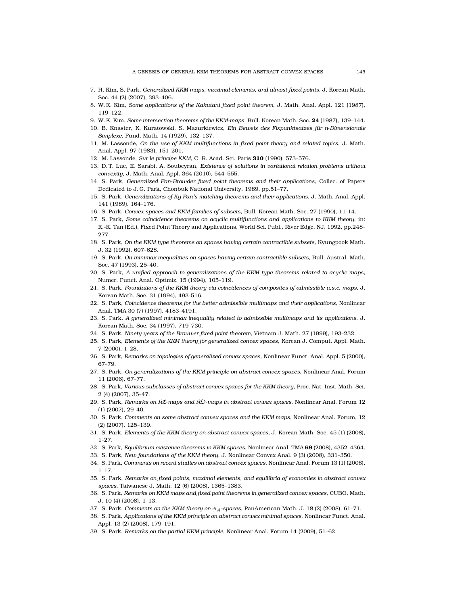- 7. H. Kim, S. Park, *Generalized KKM maps, maximal elements, and almost fixed points*, J. Korean Math. Soc. 44 (2) (2007), 393–406.
- 8. W. K. Kim, *Some applications of the Kakutani fixed point theorem*, J. Math. Anal. Appl. 121 (1987), 119–122.
- 9. W. K. Kim, *Some intersection theorems of the KKM-maps*, Bull. Korean Math. Soc. **24** (1987), 139–144.
- 10. B. Knaster, K. Kuratowski, S. Mazurkiewicz, *Ein Beweis des Fixpunktsatzes fur n-Dimensionale ¨ Simplexe*, Fund. Math. 14 (1929), 132–137.
- 11. M. Lassonde, *On the use of KKM multifunctions in fixed point theory and related topics*, J. Math. Anal. Appl. 97 (1983), 151–201.
- 12. M. Lassonde, *Sur le principe KKM*, C. R. Acad. Sci. Paris **310** (1990), 573–576.
- 13. D. T. Luc, E. Sarabi, A. Soubeyran, *Existence of solutions in variational relation problems without convexity*, J. Math. Anal. Appl. 364 (2010), 544–555.
- 14. S. Park, *Generalized Fan-Browder fixed point theorems and their applications*, Collec. of Papers Dedicated to J. G. Park, Chonbuk National University, 1989, pp.51–77.
- 15. S. Park, *Generalizations of Ky Fan's matching theorems and their applications*, J. Math. Anal. Appl. 141 (1989), 164–176.
- 16. S. Park, *Convex spaces and KKM families of subsets*, Bull. Korean Math. Soc. 27 (1990), 11-14.
- 17. S. Park, *Some coincidence theorems on acyclic multifunctions and applications to KKM theory*, in: K.-K. Tan (Ed.), Fixed Point Theory and Applications, World Sci. Publ., River Edge, NJ, 1992, pp.248– 277.
- 18. S. Park, *On the KKM type theorems on spaces having certain contractible subsets*, Kyungpook Math. J. 32 (1992), 607–628.
- 19. S. Park, *On minimax inequalities on spaces having certain contractible subsets*, Bull. Austral. Math. Soc. 47 (1993), 25–40.
- 20. S. Park, *A unified approach to generalizations of the KKM type theorems related to acyclic maps*, Numer. Funct. Anal. Optimiz. 15 (1994), 105–119.
- 21. S. Park, *Foundations of the KKM theory via coincidences of composites of admissible u.s.c. maps*, J. Korean Math. Soc. 31 (1994), 493-516.
- 22. S. Park, *Coincidence theorems for the better admissible multimaps and their applications*, Nonlinear Anal. TMA 30 (7) (1997), 4183–4191.
- 23. S. Park, *A generalized minimax inequality related to admissible multimaps and its applications*, J. Korean Math. Soc. 34 (1997), 719–730.
- 24. S. Park, *Ninety years of the Brouwer fixed point theorem*, Vietnam J. Math. 27 (1999), 193–232.
- 25. S. Park, *Elements of the KKM theory for generalized convex spaces*, Korean J. Comput. Appl. Math. 7 (2000), 1–28.
- 26. S. Park, *Remarks on topologies of generalized convex spaces*, Nonlinear Funct. Anal. Appl. 5 (2000), 67–79.
- 27. S. Park, *On generalizations of the KKM principle on abstract convex spaces*, Nonlinear Anal. Forum 11 (2006), 67–77.
- 28. S. Park, *Various subclasses of abstract convex spaces for the KKM theory*, Proc. Nat. Inst. Math. Sci. 2 (4) (2007), 35–47.
- 29. S. Park, *Remarks on* KC*-maps and* KO*-maps in abstract convex spaces*, Nonlinear Anal. Forum 12 (1) (2007), 29–40.
- 30. S. Park, *Comments on some abstract convex spaces and the KKM maps*, Nonlinear Anal. Forum, 12 (2) (2007), 125–139.
- 31. S. Park, *Elements of the KKM theory on abstract convex spaces*, J. Korean Math. Soc. 45 (1) (2008), 1–27.
- 32. S. Park, *Equilibrium existence theorems in KKM spaces*, Nonlinear Anal. TMA **69** (2008), 4352–4364.
- 33. S. Park, *New foundations of the KKM theory*, J. Nonlinear Convex Anal. 9 (3) (2008), 331–350.
- 34. S. Park, *Comments on recent studies on abstract convex spaces*, Nonlinear Anal. Forum 13 (1) (2008), 1–17.
- 35. S. Park, *Remarks on fixed points, maximal elements, and equilibria of economies in abstract convex spaces*, Taiwanese J. Math. 12 (6) (2008), 1365–1383.
- 36. S. Park, *Remarks on KKM maps and fixed point theorems in generalized convex spaces*, CUBO, Math. J. 10 (4) (2008), 1–13.
- 37. S. Park, *Comments on the KKM theory on*  $\phi_A$ -spaces, PanAmerican Math. J. 18 (2) (2008), 61-71.
- 38. S. Park, *Applications of the KKM principle on abstract convex minimal spaces*, Nonlinear Funct. Anal. Appl. 13 (2) (2008), 179–191.
- 39. S. Park, *Remarks on the partial KKM principle*, Nonlinear Anal. Forum 14 (2009), 51–62.